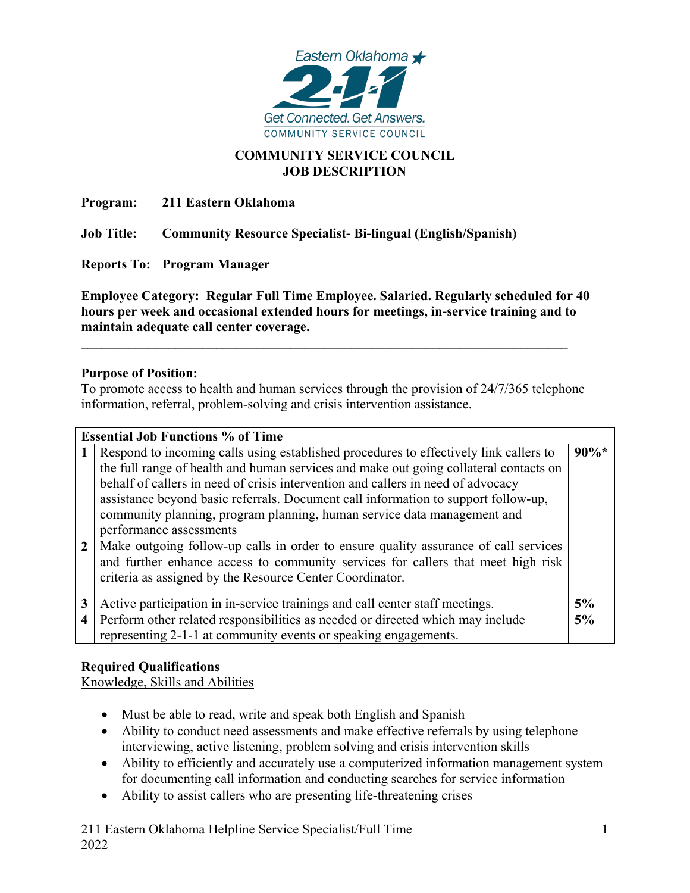

### **COMMUNITY SERVICE COUNCIL JOB DESCRIPTION**

**Program: 211 Eastern Oklahoma**

**Job Title: Community Resource Specialist- Bi-lingual (English/Spanish)**

**Reports To: Program Manager**

**Employee Category: Regular Full Time Employee. Salaried. Regularly scheduled for 40 hours per week and occasional extended hours for meetings, in-service training and to maintain adequate call center coverage.**

**\_\_\_\_\_\_\_\_\_\_\_\_\_\_\_\_\_\_\_\_\_\_\_\_\_\_\_\_\_\_\_\_\_\_\_\_\_\_\_\_\_\_\_\_\_\_\_\_\_\_\_\_\_\_\_\_\_\_\_\_\_\_\_\_\_\_\_\_\_\_\_\_**

#### **Purpose of Position:**

To promote access to health and human services through the provision of 24/7/365 telephone information, referral, problem-solving and crisis intervention assistance.

| <b>Essential Job Functions % of Time</b> |                                                                                       |         |
|------------------------------------------|---------------------------------------------------------------------------------------|---------|
|                                          | Respond to incoming calls using established procedures to effectively link callers to | $90\%*$ |
|                                          | the full range of health and human services and make out going collateral contacts on |         |
|                                          | behalf of callers in need of crisis intervention and callers in need of advocacy      |         |
|                                          | assistance beyond basic referrals. Document call information to support follow-up,    |         |
|                                          | community planning, program planning, human service data management and               |         |
|                                          | performance assessments                                                               |         |
| $\overline{2}$                           | Make outgoing follow-up calls in order to ensure quality assurance of call services   |         |
|                                          | and further enhance access to community services for callers that meet high risk      |         |
|                                          | criteria as assigned by the Resource Center Coordinator.                              |         |
|                                          |                                                                                       |         |
| 3                                        | Active participation in in-service trainings and call center staff meetings.          | 5%      |
| $\overline{4}$                           | Perform other related responsibilities as needed or directed which may include        | 5%      |
|                                          | representing 2-1-1 at community events or speaking engagements.                       |         |

# **Required Qualifications**

Knowledge, Skills and Abilities

- Must be able to read, write and speak both English and Spanish
- Ability to conduct need assessments and make effective referrals by using telephone interviewing, active listening, problem solving and crisis intervention skills
- Ability to efficiently and accurately use a computerized information management system for documenting call information and conducting searches for service information
- Ability to assist callers who are presenting life-threatening crises